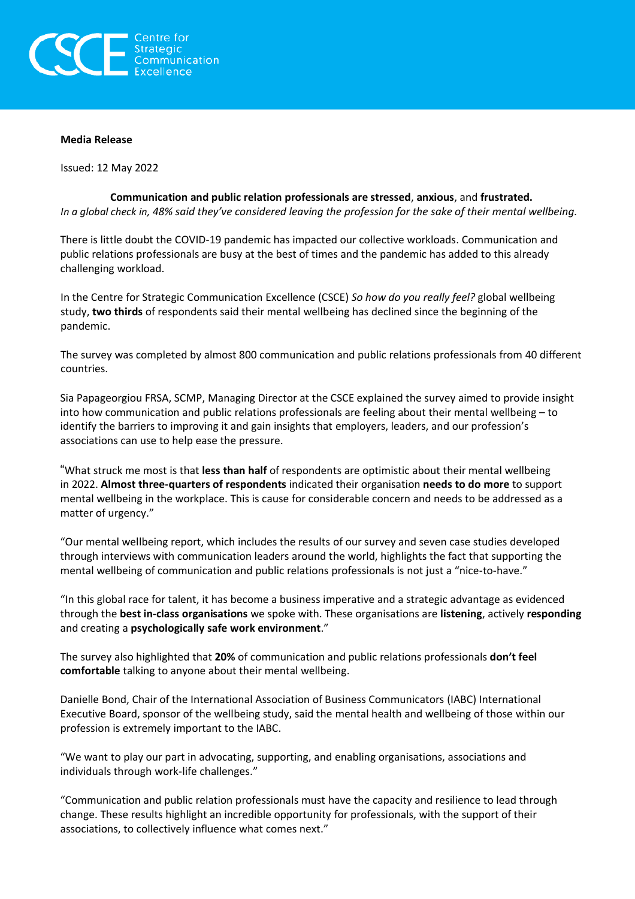

### **Media Release**

Issued: 12 May 2022

**Communication and public relation professionals are stressed**, **anxious**, and **frustrated.** In a global check in, 48% said they've considered leaving the profession for the sake of their mental wellbeing.

There is little doubt the COVID-19 pandemic has impacted our collective workloads. Communication and public relations professionals are busy at the best of times and the pandemic has added to this already challenging workload.

In the Centre for Strategic Communication Excellence (CSCE) *So how do you really feel?* global wellbeing study, **two thirds** of respondents said their mental wellbeing has declined since the beginning of the pandemic.

The survey was completed by almost 800 communication and public relations professionals from 40 different countries.

Sia Papageorgiou FRSA, SCMP, Managing Director at the CSCE explained the survey aimed to provide insight into how communication and public relations professionals are feeling about their mental wellbeing – to identify the barriers to improving it and gain insights that employers, leaders, and our profession's associations can use to help ease the pressure.

"What struck me most is that **less than half** of respondents are optimistic about their mental wellbeing in 2022. **Almost three-quarters of respondents** indicated their organisation **needs to do more** to support mental wellbeing in the workplace. This is cause for considerable concern and needs to be addressed as a matter of urgency."

"Our mental wellbeing report, which includes the results of our survey and seven case studies developed through interviews with communication leaders around the world, highlights the fact that supporting the mental wellbeing of communication and public relations professionals is not just a "nice-to-have."

"In this global race for talent, it has become a business imperative and a strategic advantage as evidenced through the **best in-class organisations** we spoke with. These organisations are **listening**, actively **responding** and creating a **psychologically safe work environment**."

The survey also highlighted that **20%** of communication and public relations professionals **don't feel comfortable** talking to anyone about their mental wellbeing.

Danielle Bond, Chair of the International Association of Business Communicators (IABC) International Executive Board, sponsor of the wellbeing study, said the mental health and wellbeing of those within our profession is extremely important to the IABC.

"We want to play our part in advocating, supporting, and enabling organisations, associations and individuals through work-life challenges."

"Communication and public relation professionals must have the capacity and resilience to lead through change. These results highlight an incredible opportunity for professionals, with the support of their associations, to collectively influence what comes next."